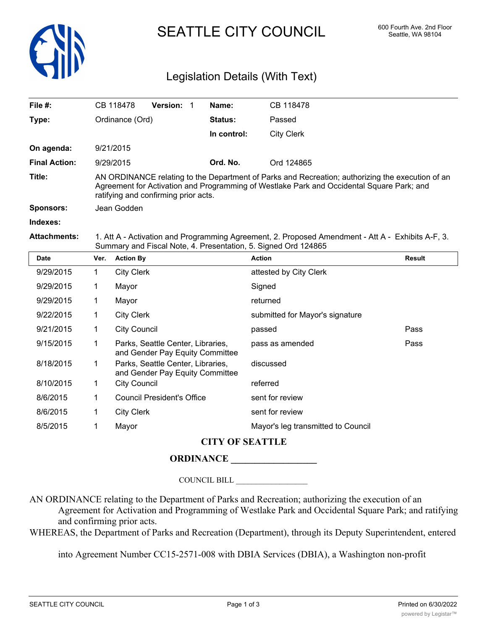

# SEATTLE CITY COUNCIL 600 Fourth Ave. 2nd Floor

# Legislation Details (With Text)

| File $#$ :           | <b>Version:</b><br>CB 118478                                                                                                                                                                                                          | Name:          | CB 118478     |  |  |
|----------------------|---------------------------------------------------------------------------------------------------------------------------------------------------------------------------------------------------------------------------------------|----------------|---------------|--|--|
| Type:                | Ordinance (Ord)                                                                                                                                                                                                                       | <b>Status:</b> | Passed        |  |  |
|                      |                                                                                                                                                                                                                                       | In control:    | City Clerk    |  |  |
| On agenda:           | 9/21/2015                                                                                                                                                                                                                             |                |               |  |  |
| <b>Final Action:</b> | 9/29/2015                                                                                                                                                                                                                             | Ord. No.       | Ord 124865    |  |  |
| Title:               | AN ORDINANCE relating to the Department of Parks and Recreation; authorizing the execution of an<br>Agreement for Activation and Programming of Westlake Park and Occidental Square Park; and<br>ratifying and confirming prior acts. |                |               |  |  |
| <b>Sponsors:</b>     | Jean Godden                                                                                                                                                                                                                           |                |               |  |  |
| Indexes:             |                                                                                                                                                                                                                                       |                |               |  |  |
| <b>Attachments:</b>  | 1. Att A - Activation and Programming Agreement, 2. Proposed Amendment - Att A - Exhibits A-F, 3.<br>Summary and Fiscal Note, 4. Presentation, 5. Signed Ord 124865                                                                   |                |               |  |  |
| <b>Date</b>          | <b>Action By</b><br>Ver.                                                                                                                                                                                                              | <b>Action</b>  | <b>Result</b> |  |  |

| Date      | Ver. | <b>Action By</b>                                                     | Action                             | Result |
|-----------|------|----------------------------------------------------------------------|------------------------------------|--------|
| 9/29/2015 | 1    | <b>City Clerk</b>                                                    | attested by City Clerk             |        |
| 9/29/2015 | 1    | Mayor                                                                | Signed                             |        |
| 9/29/2015 | 1    | Mayor                                                                | returned                           |        |
| 9/22/2015 | 1    | <b>City Clerk</b>                                                    | submitted for Mayor's signature    |        |
| 9/21/2015 | 1    | <b>City Council</b>                                                  | passed                             | Pass   |
| 9/15/2015 | 1    | Parks, Seattle Center, Libraries,<br>and Gender Pay Equity Committee | pass as amended                    | Pass   |
| 8/18/2015 | 1    | Parks, Seattle Center, Libraries,<br>and Gender Pay Equity Committee | discussed                          |        |
| 8/10/2015 | 1    | <b>City Council</b>                                                  | referred                           |        |
| 8/6/2015  | 1    | Council President's Office                                           | sent for review                    |        |
| 8/6/2015  | 1    | <b>City Clerk</b>                                                    | sent for review                    |        |
| 8/5/2015  | 1    | Mayor                                                                | Mayor's leg transmitted to Council |        |
|           |      |                                                                      |                                    |        |

## **CITY OF SEATTLE**

### **ORDINANCE \_\_\_\_\_\_\_\_\_\_\_\_\_\_\_\_\_\_**

COUNCIL BILL \_\_\_\_\_\_\_\_\_\_\_\_\_\_\_\_\_\_

AN ORDINANCE relating to the Department of Parks and Recreation; authorizing the execution of an Agreement for Activation and Programming of Westlake Park and Occidental Square Park; and ratifying and confirming prior acts.

WHEREAS, the Department of Parks and Recreation (Department), through its Deputy Superintendent, entered

into Agreement Number CC15-2571-008 with DBIA Services (DBIA), a Washington non-profit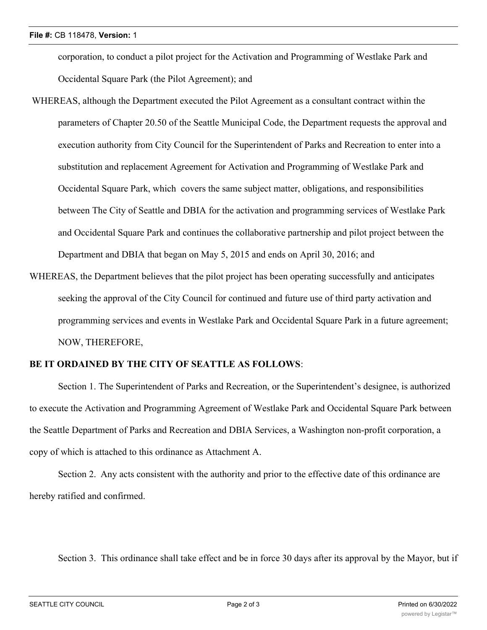corporation, to conduct a pilot project for the Activation and Programming of Westlake Park and Occidental Square Park (the Pilot Agreement); and

- WHEREAS, although the Department executed the Pilot Agreement as a consultant contract within the parameters of Chapter 20.50 of the Seattle Municipal Code, the Department requests the approval and execution authority from City Council for the Superintendent of Parks and Recreation to enter into a substitution and replacement Agreement for Activation and Programming of Westlake Park and Occidental Square Park, which covers the same subject matter, obligations, and responsibilities between The City of Seattle and DBIA for the activation and programming services of Westlake Park and Occidental Square Park and continues the collaborative partnership and pilot project between the Department and DBIA that began on May 5, 2015 and ends on April 30, 2016; and
- WHEREAS, the Department believes that the pilot project has been operating successfully and anticipates seeking the approval of the City Council for continued and future use of third party activation and programming services and events in Westlake Park and Occidental Square Park in a future agreement; NOW, THEREFORE,

#### **BE IT ORDAINED BY THE CITY OF SEATTLE AS FOLLOWS**:

Section 1. The Superintendent of Parks and Recreation, or the Superintendent's designee, is authorized to execute the Activation and Programming Agreement of Westlake Park and Occidental Square Park between the Seattle Department of Parks and Recreation and DBIA Services, a Washington non-profit corporation, a copy of which is attached to this ordinance as Attachment A.

Section 2. Any acts consistent with the authority and prior to the effective date of this ordinance are hereby ratified and confirmed.

Section 3. This ordinance shall take effect and be in force 30 days after its approval by the Mayor, but if